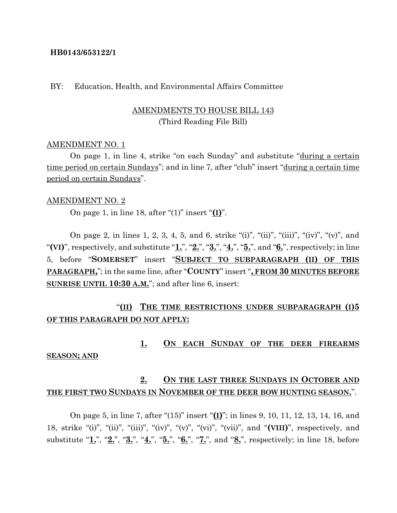#### **HB0143/653122/1**

### BY: Education, Health, and Environmental Affairs Committee

## AMENDMENTS TO HOUSE BILL 143 (Third Reading File Bill)

#### AMENDMENT NO. 1

On page 1, in line 4, strike "on each Sunday" and substitute "during a certain time period on certain Sundays"; and in line 7, after "club" insert "during a certain time period on certain Sundays".

#### AMENDMENT NO. 2

On page 1, in line 18, after "(1)" insert "**(I)**".

On page 2, in lines 1, 2, 3, 4, 5, and 6, strike "(i)", "(ii)", "(iii)", "(iv)", "(v)", and "**(VI)**", respectively, and substitute "**1.**", "**2.**", "**3.**", "**4.**", "**5.**", and "**6.**", respectively; in line 5, before "**SOMERSET**" insert "**SUBJECT TO SUBPARAGRAPH (II) OF THIS PARAGRAPH,**"; in the same line, after "**COUNTY**" insert "**, FROM 30 MINUTES BEFORE SUNRISE UNTIL 10:30 A.M.**"; and after line 6, insert:

# "**(II) THE TIME RESTRICTIONS UNDER SUBPARAGRAPH (I)5 OF THIS PARAGRAPH DO NOT APPLY:**

#### **1. ON EACH SUNDAY OF THE DEER FIREARMS**

#### **SEASON; AND**

# **2. ON THE LAST THREE SUNDAYS IN OCTOBER AND THE FIRST TWO SUNDAYS IN NOVEMBER OF THE DEER BOW HUNTING SEASON.**".

On page 5, in line 7, after "(15)" insert "**(I)**"; in lines 9, 10, 11, 12, 13, 14, 16, and 18, strike "(i)", "(ii)", "(iii)", "(iv)", "(v)", "(vi)", "(vii)", and "**(VIII)**", respectively, and substitute "**1.**", "**2.**", "**3.**", "**4.**", "**5.**", "**6.**", "**7.**", and "**8.**", respectively; in line 18, before